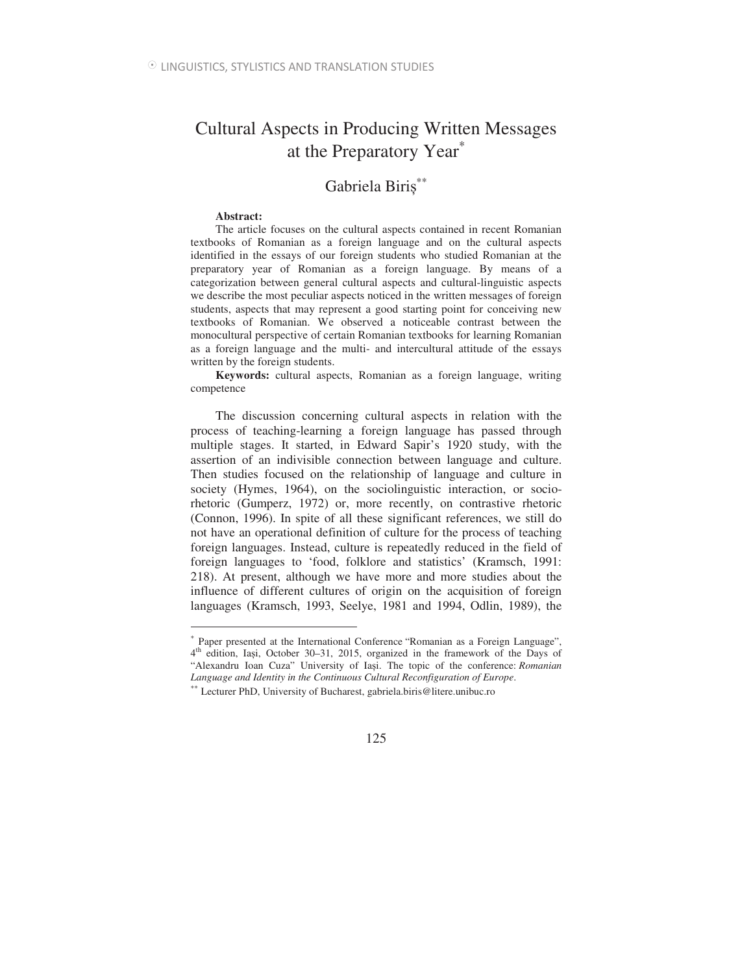## Cultural Aspects in Producing Written Messages at the Preparatory Year<sup>\*</sup>

# Gabriela Biriș<sup>\*\*</sup>

#### **Abstract:**

 $\overline{a}$ 

The article focuses on the cultural aspects contained in recent Romanian textbooks of Romanian as a foreign language and on the cultural aspects identified in the essays of our foreign students who studied Romanian at the preparatory year of Romanian as a foreign language. By means of a categorization between general cultural aspects and cultural-linguistic aspects we describe the most peculiar aspects noticed in the written messages of foreign students, aspects that may represent a good starting point for conceiving new textbooks of Romanian. We observed a noticeable contrast between the monocultural perspective of certain Romanian textbooks for learning Romanian as a foreign language and the multi- and intercultural attitude of the essays written by the foreign students.

**Keywords:** cultural aspects, Romanian as a foreign language, writing competence

The discussion concerning cultural aspects in relation with the process of teaching-learning a foreign language has passed through multiple stages. It started, in Edward Sapir's 1920 study, with the assertion of an indivisible connection between language and culture. Then studies focused on the relationship of language and culture in society (Hymes, 1964), on the sociolinguistic interaction, or sociorhetoric (Gumperz, 1972) or, more recently, on contrastive rhetoric (Connon, 1996). In spite of all these significant references, we still do not have an operational definition of culture for the process of teaching foreign languages. Instead, culture is repeatedly reduced in the field of foreign languages to 'food, folklore and statistics' (Kramsch, 1991: 218). At present, although we have more and more studies about the influence of different cultures of origin on the acquisition of foreign languages (Kramsch, 1993, Seelye, 1981 and 1994, Odlin, 1989), the

<sup>∗</sup> Paper presented at the International Conference "Romanian as a Foreign Language", 4<sup>th</sup> edition, Iași, October 30–31, 2015, organized in the framework of the Days of "Alexandru Ioan Cuza" University of Iasi. The topic of the conference: *Romanian Language and Identity in the Continuous Cultural Reconfiguration of Europe*.

<sup>∗∗</sup> Lecturer PhD, University of Bucharest, gabriela.biris@litere.unibuc.ro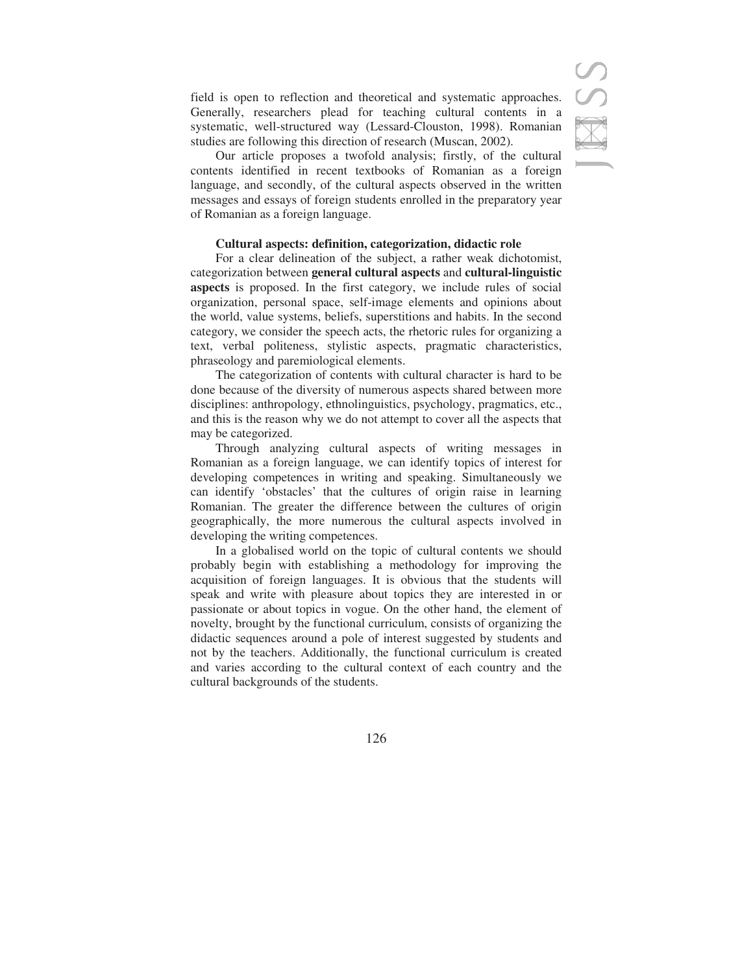field is open to reflection and theoretical and systematic approaches. Generally, researchers plead for teaching cultural contents in a systematic, well-structured way (Lessard-Clouston, 1998). Romanian studies are following this direction of research (Muscan, 2002).

Our article proposes a twofold analysis; firstly, of the cultural contents identified in recent textbooks of Romanian as a foreign language, and secondly, of the cultural aspects observed in the written messages and essays of foreign students enrolled in the preparatory year of Romanian as a foreign language.

## **Cultural aspects: definition, categorization, didactic role**

For a clear delineation of the subject, a rather weak dichotomist, categorization between **general cultural aspects** and **cultural-linguistic aspects** is proposed. In the first category, we include rules of social organization, personal space, self-image elements and opinions about the world, value systems, beliefs, superstitions and habits. In the second category, we consider the speech acts, the rhetoric rules for organizing a text, verbal politeness, stylistic aspects, pragmatic characteristics, phraseology and paremiological elements.

The categorization of contents with cultural character is hard to be done because of the diversity of numerous aspects shared between more disciplines: anthropology, ethnolinguistics, psychology, pragmatics, etc., and this is the reason why we do not attempt to cover all the aspects that may be categorized.

Through analyzing cultural aspects of writing messages in Romanian as a foreign language, we can identify topics of interest for developing competences in writing and speaking. Simultaneously we can identify 'obstacles' that the cultures of origin raise in learning Romanian. The greater the difference between the cultures of origin geographically, the more numerous the cultural aspects involved in developing the writing competences.

In a globalised world on the topic of cultural contents we should probably begin with establishing a methodology for improving the acquisition of foreign languages. It is obvious that the students will speak and write with pleasure about topics they are interested in or passionate or about topics in vogue. On the other hand, the element of novelty, brought by the functional curriculum, consists of organizing the didactic sequences around a pole of interest suggested by students and not by the teachers. Additionally, the functional curriculum is created and varies according to the cultural context of each country and the cultural backgrounds of the students.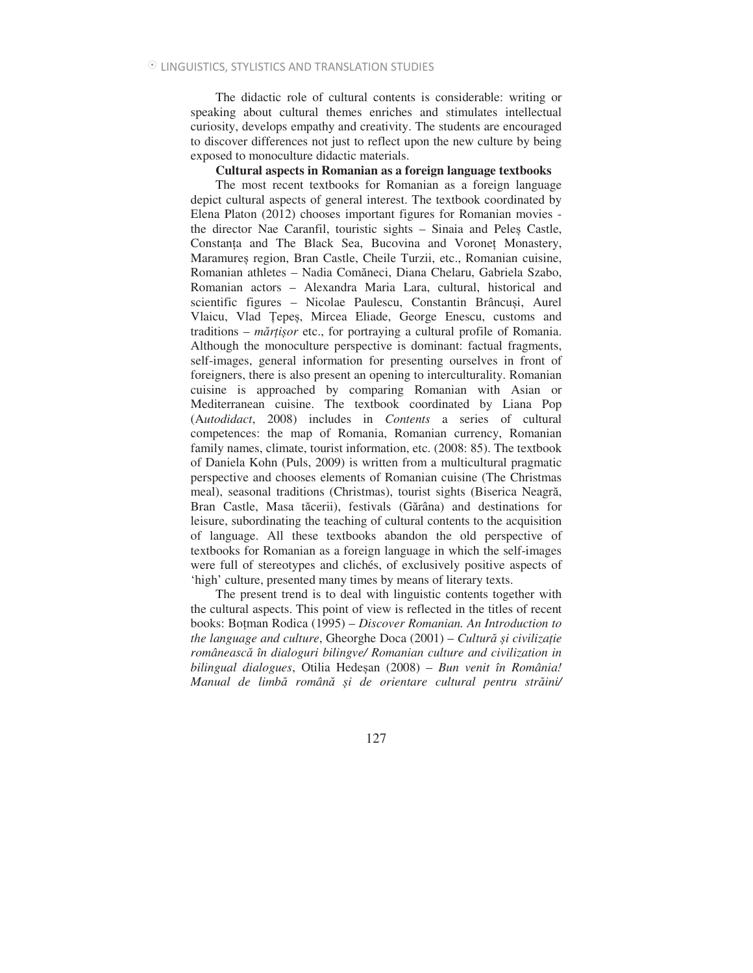The didactic role of cultural contents is considerable: writing or speaking about cultural themes enriches and stimulates intellectual curiosity, develops empathy and creativity. The students are encouraged to discover differences not just to reflect upon the new culture by being exposed to monoculture didactic materials.

## **Cultural aspects in Romanian as a foreign language textbooks**

The most recent textbooks for Romanian as a foreign language depict cultural aspects of general interest. The textbook coordinated by Elena Platon (2012) chooses important figures for Romanian movies the director Nae Caranfil, touristic sights - Sinaia and Peles Castle, Constanta and The Black Sea, Bucovina and Voronet Monastery, Maramureș region, Bran Castle, Cheile Turzii, etc., Romanian cuisine, Romanian athletes - Nadia Comăneci, Diana Chelaru, Gabriela Szabo, Romanian actors – Alexandra Maria Lara, cultural, historical and scientific figures – Nicolae Paulescu, Constantin Brâncusi, Aurel Vlaicu, Vlad Țepeș, Mircea Eliade, George Enescu, customs and traditions – *mr1ior* etc., for portraying a cultural profile of Romania. Although the monoculture perspective is dominant: factual fragments, self-images, general information for presenting ourselves in front of foreigners, there is also present an opening to interculturality. Romanian cuisine is approached by comparing Romanian with Asian or Mediterranean cuisine. The textbook coordinated by Liana Pop (A*utodidact*, 2008) includes in *Contents* a series of cultural competences: the map of Romania, Romanian currency, Romanian family names, climate, tourist information, etc. (2008: 85). The textbook of Daniela Kohn (Puls, 2009) is written from a multicultural pragmatic perspective and chooses elements of Romanian cuisine (The Christmas meal), seasonal traditions (Christmas), tourist sights (Biserica Neagră, Bran Castle, Masa tăcerii), festivals (Gărâna) and destinations for leisure, subordinating the teaching of cultural contents to the acquisition of language. All these textbooks abandon the old perspective of textbooks for Romanian as a foreign language in which the self-images were full of stereotypes and clichés, of exclusively positive aspects of 'high' culture, presented many times by means of literary texts.

The present trend is to deal with linguistic contents together with the cultural aspects. This point of view is reflected in the titles of recent books: Boman Rodica (1995) – *Discover Romanian. An Introduction to the language and culture, Gheorghe Doca (2001) – Cultură și civilizație româneasc în dialoguri bilingve/ Romanian culture and civilization in bilingual dialogues*, Otilia Hedean (2008) – *Bun venit în România! Manual de limb român i de orientare cultural pentru strini/*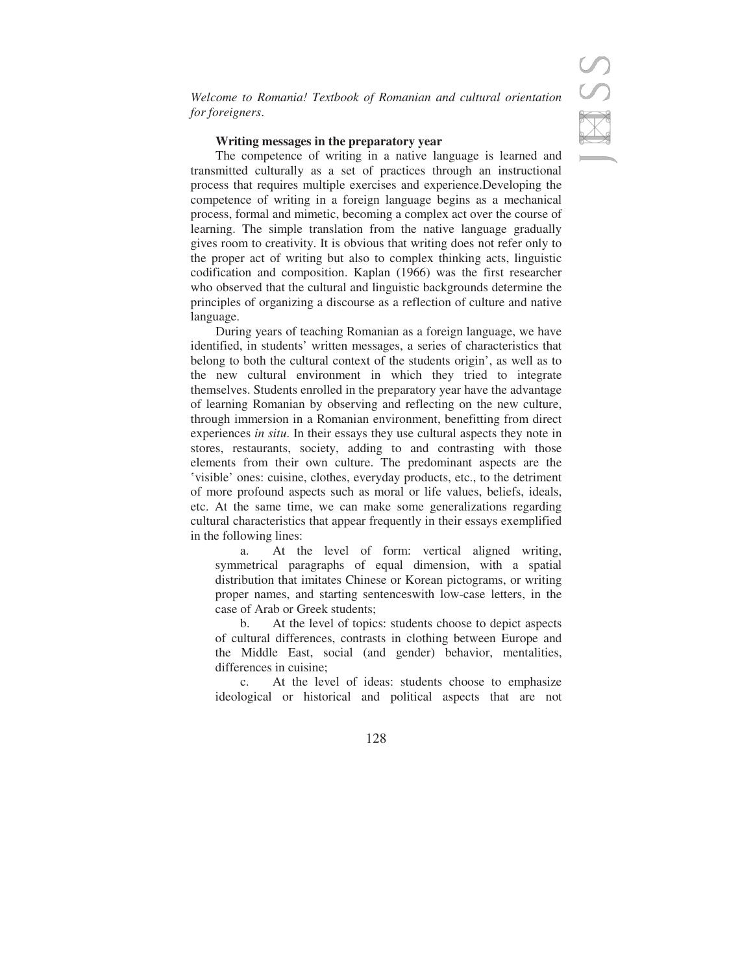*Welcome to Romania! Textbook of Romanian and cultural orientation for foreigners*.

## **Writing messages in the preparatory year**

The competence of writing in a native language is learned and transmitted culturally as a set of practices through an instructional process that requires multiple exercises and experience.Developing the competence of writing in a foreign language begins as a mechanical process, formal and mimetic, becoming a complex act over the course of learning. The simple translation from the native language gradually gives room to creativity. It is obvious that writing does not refer only to the proper act of writing but also to complex thinking acts, linguistic codification and composition. Kaplan (1966) was the first researcher who observed that the cultural and linguistic backgrounds determine the principles of organizing a discourse as a reflection of culture and native language.

During years of teaching Romanian as a foreign language, we have identified, in students' written messages, a series of characteristics that belong to both the cultural context of the students origin', as well as to the new cultural environment in which they tried to integrate themselves. Students enrolled in the preparatory year have the advantage of learning Romanian by observing and reflecting on the new culture, through immersion in a Romanian environment, benefitting from direct experiences *in situ*. In their essays they use cultural aspects they note in stores, restaurants, society, adding to and contrasting with those elements from their own culture. The predominant aspects are the >visible' ones: cuisine, clothes, everyday products, etc., to the detriment of more profound aspects such as moral or life values, beliefs, ideals, etc. At the same time, we can make some generalizations regarding cultural characteristics that appear frequently in their essays exemplified in the following lines:

a. At the level of form: vertical aligned writing, symmetrical paragraphs of equal dimension, with a spatial distribution that imitates Chinese or Korean pictograms, or writing proper names, and starting sentenceswith low-case letters, in the case of Arab or Greek students;

b. At the level of topics: students choose to depict aspects of cultural differences, contrasts in clothing between Europe and the Middle East, social (and gender) behavior, mentalities, differences in cuisine;

c. At the level of ideas: students choose to emphasize ideological or historical and political aspects that are not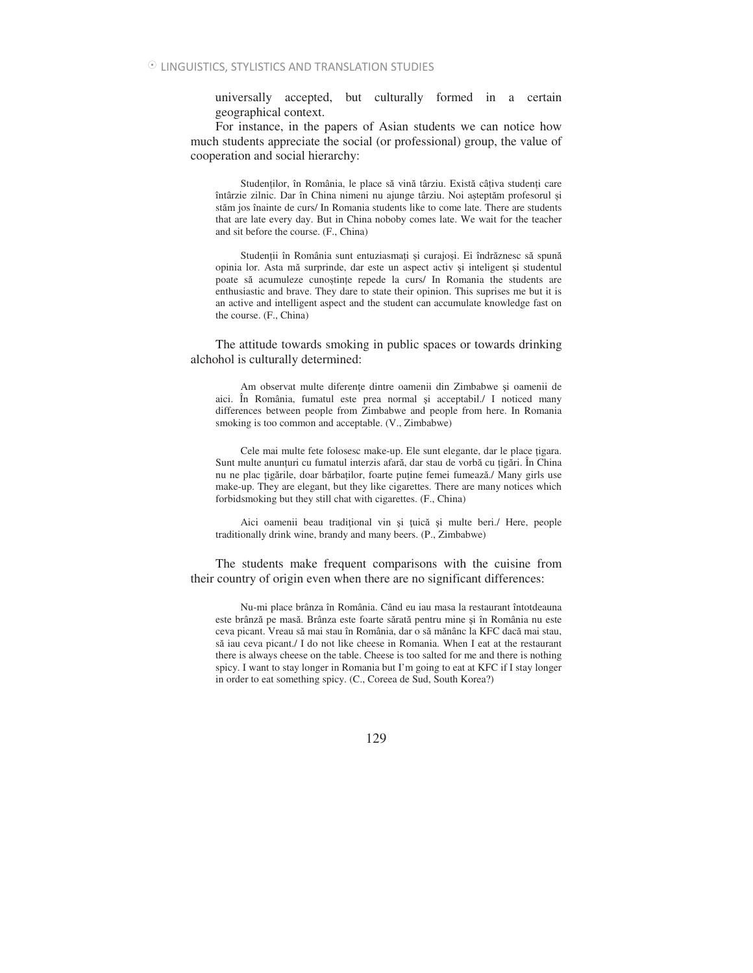universally accepted, but culturally formed in a certain geographical context.

For instance, in the papers of Asian students we can notice how much students appreciate the social (or professional) group, the value of cooperation and social hierarchy:

Studenților, în România, le place să vină târziu. Există câțiva studenți care întârzie zilnic. Dar în China nimeni nu ajunge târziu. Noi așteptăm profesorul și stăm jos înainte de curs/ In Romania students like to come late. There are students that are late every day. But in China noboby comes late. We wait for the teacher and sit before the course. (F., China)

Studenții în România sunt entuziasmați și curajoși. Ei îndrăznesc să spună opinia lor. Asta mă surprinde, dar este un aspect activ și inteligent și studentul poate să acumuleze cunoștințe repede la curs/ In Romania the students are enthusiastic and brave. They dare to state their opinion. This suprises me but it is an active and intelligent aspect and the student can accumulate knowledge fast on the course. (F., China)

The attitude towards smoking in public spaces or towards drinking alchohol is culturally determined:

Am observat multe diferente dintre oamenii din Zimbabwe și oamenii de aici. În România, fumatul este prea normal și acceptabil./ I noticed many differences between people from Zimbabwe and people from here. In Romania smoking is too common and acceptable. (V., Zimbabwe)

Cele mai multe fete folosesc make-up. Ele sunt elegante, dar le place igara. Sunt multe anunțuri cu fumatul interzis afară, dar stau de vorbă cu țigări. În China nu ne plac țigările, doar bărbaților, foarte puține femei fumează./ Many girls use make-up. They are elegant, but they like cigarettes. There are many notices which forbidsmoking but they still chat with cigarettes. (F., China)

Aici oamenii beau tradițional vin și țuică și multe beri./ Here, people traditionally drink wine, brandy and many beers. (P., Zimbabwe)

The students make frequent comparisons with the cuisine from their country of origin even when there are no significant differences:

Nu-mi place brânza în România. Când eu iau masa la restaurant întotdeauna este brânză pe masă. Brânza este foarte sărată pentru mine și în România nu este ceva picant. Vreau să mai stau în România, dar o să mănânc la KFC dacă mai stau, să iau ceva picant./ I do not like cheese in Romania. When I eat at the restaurant there is always cheese on the table. Cheese is too salted for me and there is nothing spicy. I want to stay longer in Romania but I'm going to eat at KFC if I stay longer in order to eat something spicy. (C., Coreea de Sud, South Korea?)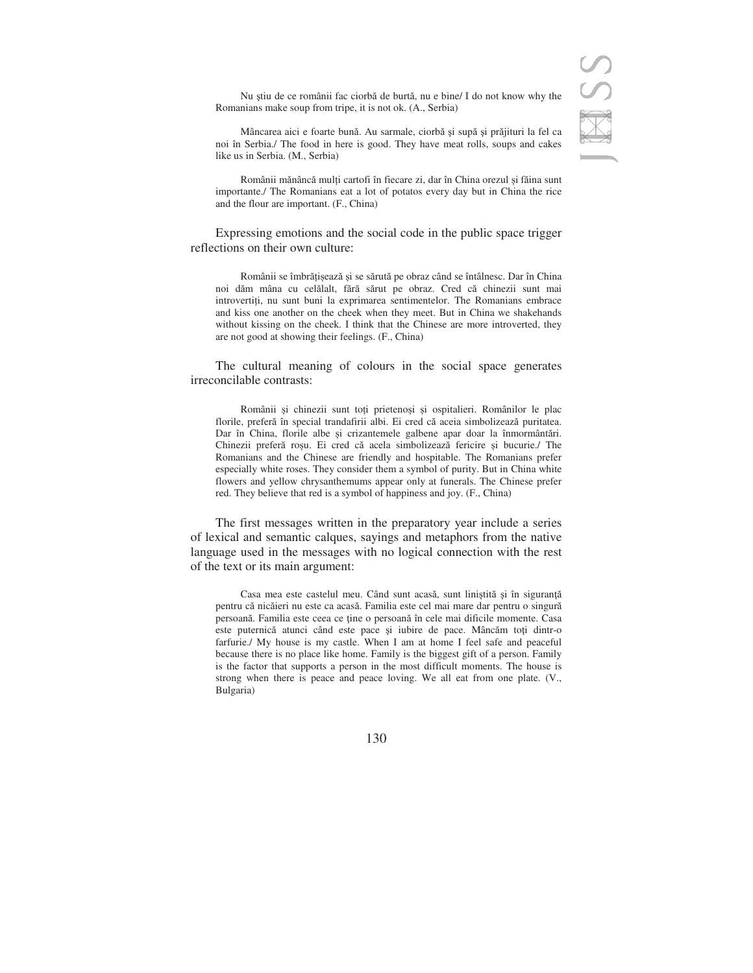Nu știu de ce românii fac ciorbă de burtă, nu e bine/ I do not know why the Romanians make soup from tripe, it is not ok. (A., Serbia)

Mâncarea aici e foarte bună. Au sarmale, ciorbă și supă și prăjituri la fel ca noi în Serbia./ The food in here is good. They have meat rolls, soups and cakes like us in Serbia. (M., Serbia)

Românii mănâncă mulți cartofi în fiecare zi, dar în China orezul și făina sunt importante./ The Romanians eat a lot of potatos every day but in China the rice and the flour are important. (F., China)

Expressing emotions and the social code in the public space trigger reflections on their own culture:

Românii se îmbrățișează și se sărută pe obraz când se întâlnesc. Dar în China noi dăm mâna cu celălalt, fără sărut pe obraz. Cred că chinezii sunt mai introvertii, nu sunt buni la exprimarea sentimentelor. The Romanians embrace and kiss one another on the cheek when they meet. But in China we shakehands without kissing on the cheek. I think that the Chinese are more introverted, they are not good at showing their feelings. (F., China)

The cultural meaning of colours in the social space generates irreconcilable contrasts:

Românii și chinezii sunt toți prietenoși și ospitalieri. Românilor le plac florile, preferă în special trandafirii albi. Ei cred că aceia simbolizează puritatea. Dar în China, florile albe și crizantemele galbene apar doar la înmormântări. Chinezii preferă roșu. Ei cred că acela simbolizează fericire și bucurie./ The Romanians and the Chinese are friendly and hospitable. The Romanians prefer especially white roses. They consider them a symbol of purity. But in China white flowers and yellow chrysanthemums appear only at funerals. The Chinese prefer red. They believe that red is a symbol of happiness and joy. (F., China)

The first messages written in the preparatory year include a series of lexical and semantic calques, sayings and metaphors from the native language used in the messages with no logical connection with the rest of the text or its main argument:

Casa mea este castelul meu. Când sunt acasă, sunt liniștită și în siguranță pentru că nicăieri nu este ca acasă. Familia este cel mai mare dar pentru o singură persoană. Familia este ceea ce ține o persoană în cele mai dificile momente. Casa este puternică atunci când este pace și iubire de pace. Mâncăm toți dintr-o farfurie./ My house is my castle. When I am at home I feel safe and peaceful because there is no place like home. Family is the biggest gift of a person. Family is the factor that supports a person in the most difficult moments. The house is strong when there is peace and peace loving. We all eat from one plate. (V., Bulgaria)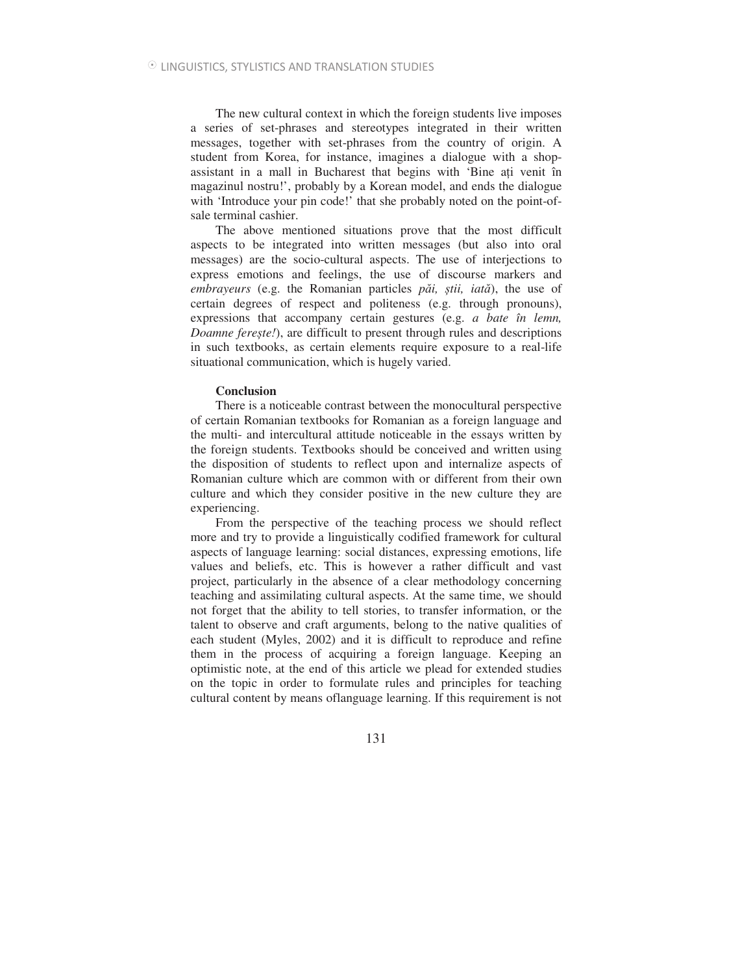The new cultural context in which the foreign students live imposes a series of set-phrases and stereotypes integrated in their written messages, together with set-phrases from the country of origin. A student from Korea, for instance, imagines a dialogue with a shopassistant in a mall in Bucharest that begins with 'Bine ai venit în magazinul nostru!', probably by a Korean model, and ends the dialogue with 'Introduce your pin code!' that she probably noted on the point-ofsale terminal cashier.

The above mentioned situations prove that the most difficult aspects to be integrated into written messages (but also into oral messages) are the socio-cultural aspects. The use of interjections to express emotions and feelings, the use of discourse markers and *embrayeurs* (e.g. the Romanian particles *p* $\check{a}$ *i*, *stii*, *iată*), the use of certain degrees of respect and politeness (e.g. through pronouns), expressions that accompany certain gestures (e.g. *a bate în lemn, Doamne ferete!*), are difficult to present through rules and descriptions in such textbooks, as certain elements require exposure to a real-life situational communication, which is hugely varied.

### **Conclusion**

There is a noticeable contrast between the monocultural perspective of certain Romanian textbooks for Romanian as a foreign language and the multi- and intercultural attitude noticeable in the essays written by the foreign students. Textbooks should be conceived and written using the disposition of students to reflect upon and internalize aspects of Romanian culture which are common with or different from their own culture and which they consider positive in the new culture they are experiencing.

From the perspective of the teaching process we should reflect more and try to provide a linguistically codified framework for cultural aspects of language learning: social distances, expressing emotions, life values and beliefs, etc. This is however a rather difficult and vast project, particularly in the absence of a clear methodology concerning teaching and assimilating cultural aspects. At the same time, we should not forget that the ability to tell stories, to transfer information, or the talent to observe and craft arguments, belong to the native qualities of each student (Myles, 2002) and it is difficult to reproduce and refine them in the process of acquiring a foreign language. Keeping an optimistic note, at the end of this article we plead for extended studies on the topic in order to formulate rules and principles for teaching cultural content by means oflanguage learning. If this requirement is not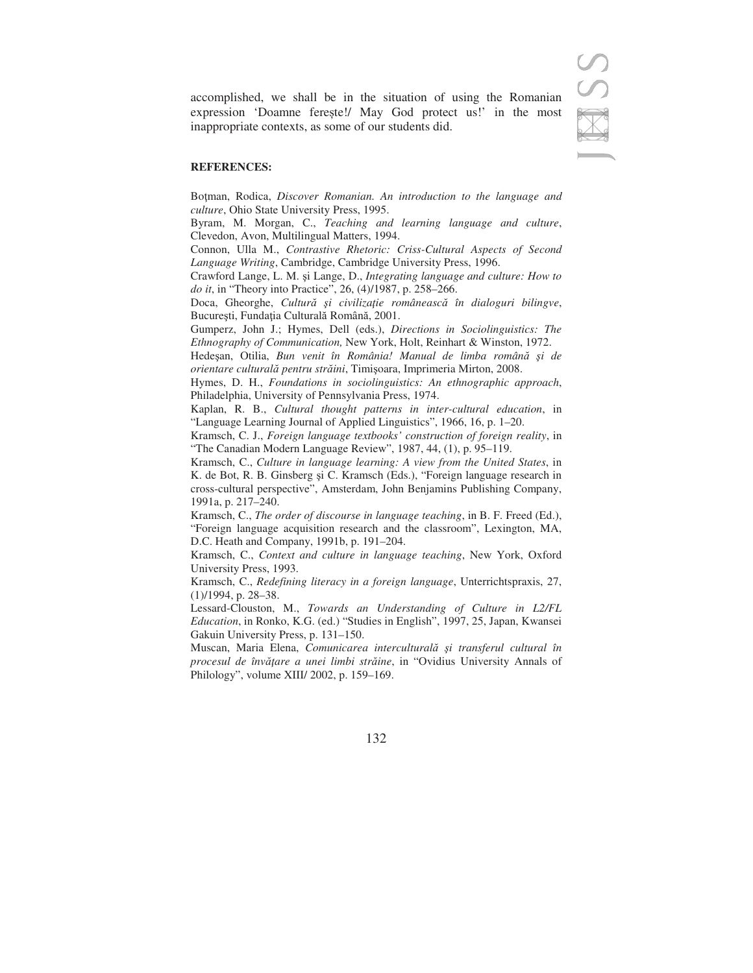accomplished, we shall be in the situation of using the Romanian expression 'Doamne fereste!/ May God protect us!' in the most inappropriate contexts, as some of our students did.

### **REFERENCES:**

Boman, Rodica, *Discover Romanian. An introduction to the language and culture*, Ohio State University Press, 1995.

Byram, M. Morgan, C., *Teaching and learning language and culture*, Clevedon, Avon, Multilingual Matters, 1994.

Connon, Ulla M., *Contrastive Rhetoric: Criss-Cultural Aspects of Second Language Writing*, Cambridge, Cambridge University Press, 1996.

Crawford Lange, L. M. și Lange, D., *Integrating language and culture: How to do it*, in "Theory into Practice", 26, (4)/1987, p. 258–266.

Doca, Gheorghe, *Cultur -i civilizaie româneasc în dialoguri bilingve*, București, Fundația Culturală Română, 2001.

Gumperz, John J.; Hymes, Dell (eds.), *Directions in Sociolinguistics: The Ethnography of Communication,* New York, Holt, Reinhart & Winston, 1972.

Hedeșan, Otilia, Bun venit în România! Manual de limba română și de *orientare cultural pentru strini*, Timioara, Imprimeria Mirton, 2008.

Hymes, D. H., *Foundations in sociolinguistics: An ethnographic approach*, Philadelphia, University of Pennsylvania Press, 1974.

Kaplan, R. B., *Cultural thought patterns in inter-cultural education*, in "Language Learning Journal of Applied Linguistics", 1966, 16, p. 1–20.

Kramsch, C. J., *Foreign language textbooks' construction of foreign reality*, in "The Canadian Modern Language Review", 1987, 44, (1), p. 95–119.

Kramsch, C., *Culture in language learning: A view from the United States*, in K. de Bot, R. B. Ginsberg și C. Kramsch (Eds.), "Foreign language research in cross-cultural perspective", Amsterdam, John Benjamins Publishing Company, 1991a, p. 217–240.

Kramsch, C., *The order of discourse in language teaching*, in B. F. Freed (Ed.), "Foreign language acquisition research and the classroom", Lexington, MA, D.C. Heath and Company, 1991b, p. 191–204.

Kramsch, C., *Context and culture in language teaching*, New York, Oxford University Press, 1993.

Kramsch, C., *Redefining literacy in a foreign language*, Unterrichtspraxis, 27, (1)/1994, p. 28–38.

Lessard-Clouston, M., *Towards an Understanding of Culture in L2/FL Education*, in Ronko, K.G. (ed.) "Studies in English", 1997, 25, Japan, Kwansei Gakuin University Press, p. 131–150.

Muscan, Maria Elena, *Comunicarea intercultural -i transferul cultural în procesul de învare a unei limbi strine*, in "Ovidius University Annals of Philology", volume XIII/ 2002, p. 159–169.